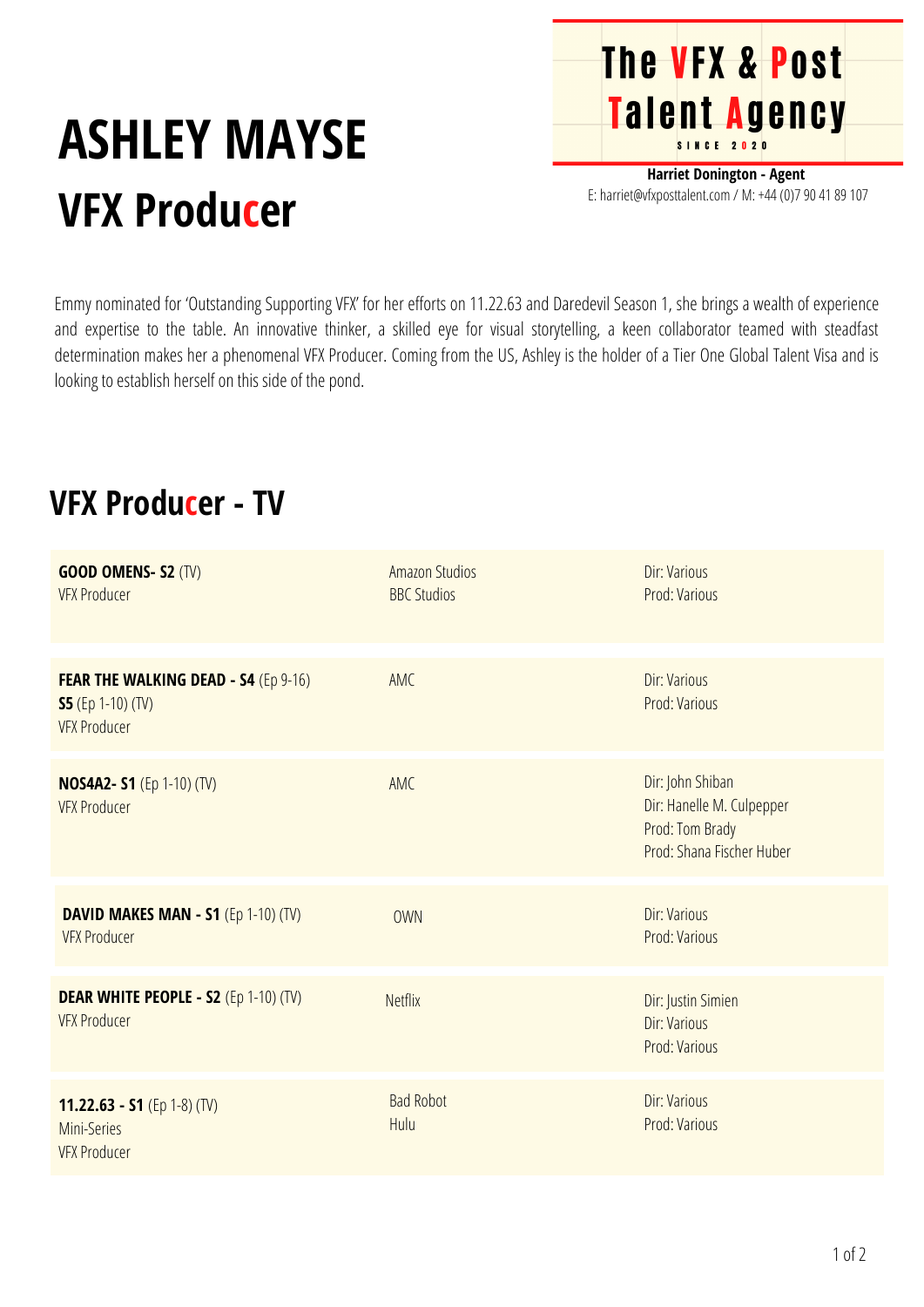## **ASHLEY MAYSE VFX Producer**

**Harriet Donington - Agent** E: harriet@vfxposttalent.com / M: +44 (0)7 90 41 89 107

**The VFX & Post** 

**Talent Agency** 

Emmy nominated for 'Outstanding Supporting VFX' for her efforts on 11.22.63 and Daredevil Season 1, she brings a wealth of experience and expertise to the table. An innovative thinker, a skilled eye for visual storytelling, a keen collaborator teamed with steadfast determination makes her a phenomenal VFX Producer. Coming from the US, Ashley is the holder of a Tier One Global Talent Visa and is looking to establish herself on this side of the pond.

## **VFX Producer - TV**

| <b>GOOD OMENS-S2 (TV)</b><br><b>VFX Producer</b>                                               | <b>Amazon Studios</b><br><b>BBC Studios</b> | Dir: Various<br>Prod: Various                                                                 |
|------------------------------------------------------------------------------------------------|---------------------------------------------|-----------------------------------------------------------------------------------------------|
| <b>FEAR THE WALKING DEAD - S4 (Ep 9-16)</b><br><b>S5</b> (Ep 1-10) (TV)<br><b>VFX Producer</b> | AMC                                         | Dir: Various<br>Prod: Various                                                                 |
| <b>NOS4A2- S1</b> (Ep 1-10) (TV)<br><b>VFX Producer</b>                                        | AMC                                         | Dir: John Shiban<br>Dir: Hanelle M. Culpepper<br>Prod: Tom Brady<br>Prod: Shana Fischer Huber |
| DAVID MAKES MAN - S1 $(Ep 1-10)$ (TV)<br><b>VFX Producer</b>                                   | <b>OWN</b>                                  | Dir: Various<br>Prod: Various                                                                 |
| <b>DEAR WHITE PEOPLE - S2 (Ep 1-10) (TV)</b><br><b>VFX Producer</b>                            | <b>Netflix</b>                              | Dir: Justin Simien<br>Dir: Various<br>Prod: Various                                           |
| 11.22.63 - S1 (Ep 1-8) (TV)<br>Mini-Series<br><b>VFX Producer</b>                              | <b>Bad Robot</b><br>Hulu                    | <b>Dir: Various</b><br>Prod: Various                                                          |